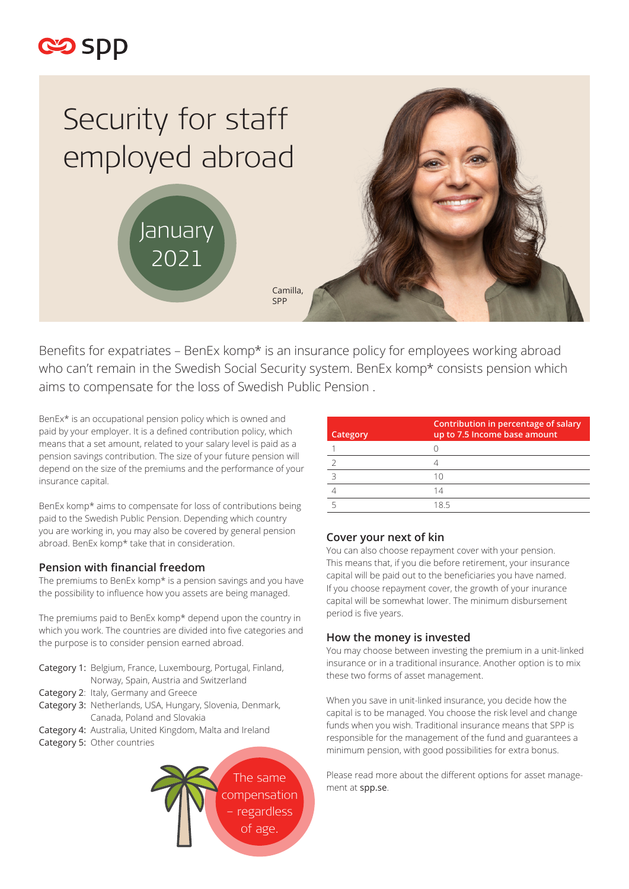



Benefits for expatriates – BenEx komp\* is an insurance policy for employees working abroad who can't remain in the Swedish Social Security system. BenEx komp\* consists pension which aims to compensate for the loss of Swedish Public Pension .

BenEx\* is an occupational pension policy which is owned and paid by your employer. It is a defined contribution policy, which means that a set amount, related to your salary level is paid as a pension savings contribution. The size of your future pension will depend on the size of the premiums and the performance of your insurance capital.

BenEx komp\* aims to compensate for loss of contributions being paid to the Swedish Public Pension. Depending which country you are working in, you may also be covered by general pension abroad. BenEx komp\* take that in consideration.

## **Pension with financial freedom**

The premiums to BenEx komp\* is a pension savings and you have the possibility to influence how you assets are being managed.

The premiums paid to BenEx komp\* depend upon the country in which you work. The countries are divided into five categories and the purpose is to consider pension earned abroad.

- Category 1: Belgium, France, Luxembourg, Portugal, Finland, Norway, Spain, Austria and Switzerland
- Category 2: Italy, Germany and Greece
- Category 3: Netherlands, USA, Hungary, Slovenia, Denmark, Canada, Poland and Slovakia
- Category 4: Australia, United Kingdom, Malta and Ireland
- Category 5: Other countries



| Category | Contribution in percentage of salary<br>up to 7.5 Income base amount |
|----------|----------------------------------------------------------------------|
|          |                                                                      |
|          |                                                                      |
|          | 10                                                                   |
|          | 14                                                                   |
|          | 185                                                                  |

### **Cover your next of kin**

You can also choose repayment cover with your pension. This means that, if you die before retirement, your insurance capital will be paid out to the beneficiaries you have named. If you choose repayment cover, the growth of your inurance capital will be somewhat lower. The minimum disbursement period is five years.

### **How the money is invested**

You may choose between investing the premium in a unit-linked insurance or in a traditional insurance. Another option is to mix these two forms of asset management.

When you save in unit-linked insurance, you decide how the capital is to be managed. You choose the risk level and change funds when you wish. Traditional insurance means that SPP is responsible for the management of the fund and guarantees a minimum pension, with good possibilities for extra bonus.

Please read more about the different options for asset management at spp.se.